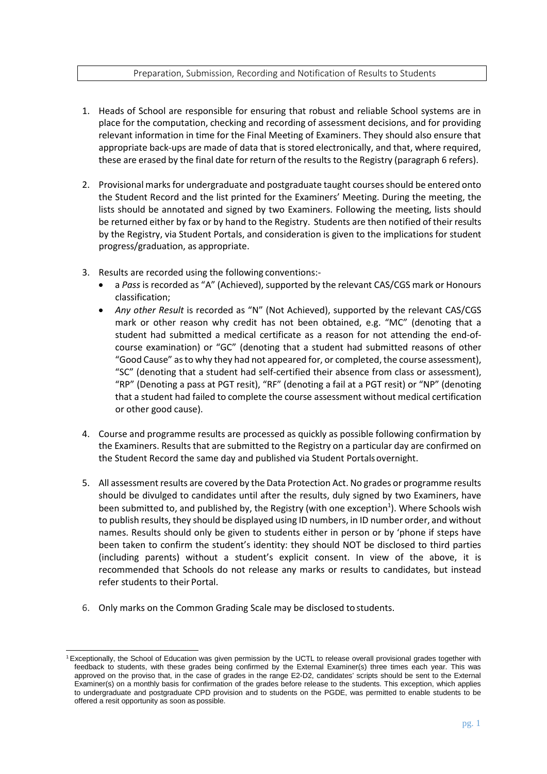## Preparation, Submission, Recording and Notification of Results to Students

- 1. Heads of School are responsible for ensuring that robust and reliable School systems are in place for the computation, checking and recording of assessment decisions, and for providing relevant information in time for the Final Meeting of Examiners. They should also ensure that appropriate back-ups are made of data that is stored electronically, and that, where required, these are erased by the final date for return of the results to the Registry (paragraph 6 refers).
- 2. Provisional marks for undergraduate and postgraduate taught courses should be entered onto the Student Record and the list printed for the Examiners' Meeting. During the meeting, the lists should be annotated and signed by two Examiners. Following the meeting, lists should be returned either by fax or by hand to the Registry. Students are then notified of their results by the Registry, via Student Portals, and consideration is given to the implications for student progress/graduation, as appropriate.
- 3. Results are recorded using the following conventions:-
	- a *Pass* is recorded as "A" (Achieved), supported by the relevant CAS/CGS mark or Honours classification;
	- *Any other Result* is recorded as "N" (Not Achieved), supported by the relevant CAS/CGS mark or other reason why credit has not been obtained, e.g. "MC" (denoting that a student had submitted a medical certificate as a reason for not attending the end-ofcourse examination) or "GC" (denoting that a student had submitted reasons of other "Good Cause" as to why they had not appeared for, or completed, the course assessment), "SC" (denoting that a student had self-certified their absence from class or assessment), "RP" (Denoting a pass at PGT resit), "RF" (denoting a fail at a PGT resit) or "NP" (denoting that a student had failed to complete the course assessment without medical certification or other good cause).
- 4. Course and programme results are processed as quickly as possible following confirmation by the Examiners. Results that are submitted to the Registry on a particular day are confirmed on the Student Record the same day and published via Student Portalsovernight.
- 5. All assessment results are covered by the Data Protection Act. No grades or programme results should be divulged to candidates until after the results, duly signed by two Examiners, have been submitted to, and published by, the Registry (with one exception<sup>1</sup>). Where Schools wish to publish results, they should be displayed using ID numbers, in ID number order, and without names. Results should only be given to students either in person or by 'phone if steps have been taken to confirm the student's identity: they should NOT be disclosed to third parties (including parents) without a student's explicit consent. In view of the above, it is recommended that Schools do not release any marks or results to candidates, but instead refer students to their Portal.
- 6. Only marks on the Common Grading Scale may be disclosed tostudents.

<span id="page-0-0"></span><sup>&</sup>lt;sup>1</sup> Exceptionally, the School of Education was given permission by the UCTL to release overall provisional grades together with feedback to students, with these grades being confirmed by the External Examiner(s) three times each year. This was approved on the proviso that, in the case of grades in the range E2-D2, candidates' scripts should be sent to the External Examiner(s) on a monthly basis for confirmation of the grades before release to the students. This exception, which applies to undergraduate and postgraduate CPD provision and to students on the PGDE, was permitted to enable students to be offered a resit opportunity as soon as possible.